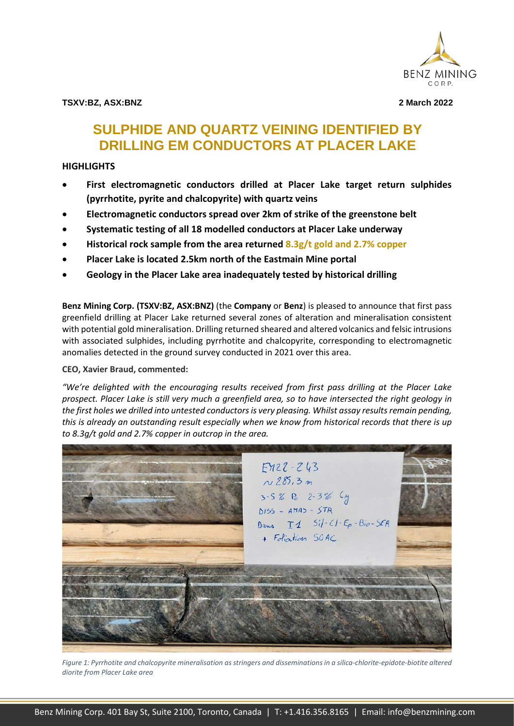

**TSXV:BZ, ASX:BNZ 2 March 2022**

# **SULPHIDE AND QUARTZ VEINING IDENTIFIED BY DRILLING EM CONDUCTORS AT PLACER LAKE**

### **HIGHLIGHTS**

- **First electromagnetic conductors drilled at Placer Lake target return sulphides (pyrrhotite, pyrite and chalcopyrite) with quartz veins**
- **Electromagnetic conductors spread over 2km of strike of the greenstone belt**
- **Systematic testing of all 18 modelled conductors at Placer Lake underway**
- **Historical rock sample from the area returned 8.3g/t gold and 2.7% copper**
- **Placer Lake is located 2.5km north of the Eastmain Mine portal**
- **Geology in the Placer Lake area inadequately tested by historical drilling**

**Benz Mining Corp. (TSXV:BZ, ASX:BNZ)** (the **Company** or **Benz**) is pleased to announce that first pass greenfield drilling at Placer Lake returned several zones of alteration and mineralisation consistent with potential gold mineralisation. Drilling returned sheared and altered volcanics and felsic intrusions with associated sulphides, including pyrrhotite and chalcopyrite, corresponding to electromagnetic anomalies detected in the ground survey conducted in 2021 over this area.

### **CEO, Xavier Braud, commented:**

*"We're delighted with the encouraging results received from first pass drilling at the Placer Lake prospect. Placer Lake is still very much a greenfield area, so to have intersected the right geology in the first holes we drilled into untested conductors is very pleasing. Whilst assay results remain pending, this is already an outstanding result especially when we know from historical records that there is up to 8.3g/t gold and 2.7% copper in outcrop in the area.*



*Figure 1: Pyrrhotite and chalcopyrite mineralisation as stringers and disseminations in a silica-chlorite-epidote-biotite altered diorite from Placer Lake area*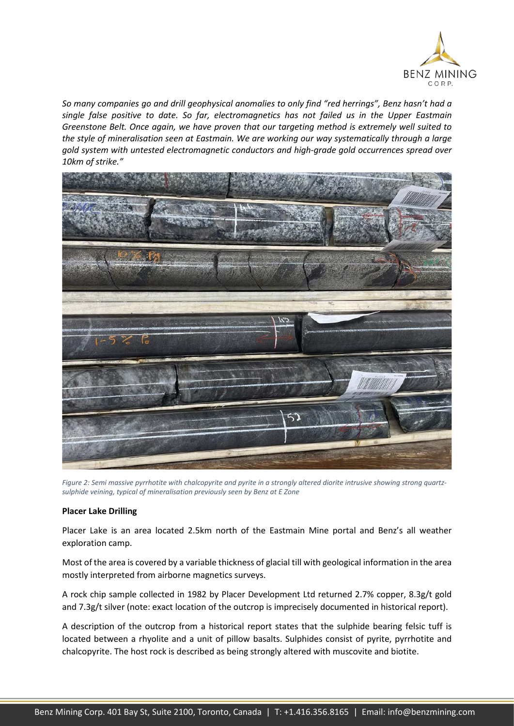

*So many companies go and drill geophysical anomalies to only find "red herrings", Benz hasn't had a single false positive to date. So far, electromagnetics has not failed us in the Upper Eastmain Greenstone Belt. Once again, we have proven that our targeting method is extremely well suited to the style of mineralisation seen at Eastmain. We are working our way systematically through a large gold system with untested electromagnetic conductors and high-grade gold occurrences spread over 10km of strike."*



*Figure 2: Semi massive pyrrhotite with chalcopyrite and pyrite in a strongly altered diorite intrusive showing strong quartzsulphide veining, typical of mineralisation previously seen by Benz at E Zone*

#### **Placer Lake Drilling**

Placer Lake is an area located 2.5km north of the Eastmain Mine portal and Benz's all weather exploration camp.

Most of the area is covered by a variable thickness of glacial till with geological information in the area mostly interpreted from airborne magnetics surveys.

A rock chip sample collected in 1982 by Placer Development Ltd returned 2.7% copper, 8.3g/t gold and 7.3g/t silver (note: exact location of the outcrop is imprecisely documented in historical report).

A description of the outcrop from a historical report states that the sulphide bearing felsic tuff is located between a rhyolite and a unit of pillow basalts. Sulphides consist of pyrite, pyrrhotite and chalcopyrite. The host rock is described as being strongly altered with muscovite and biotite.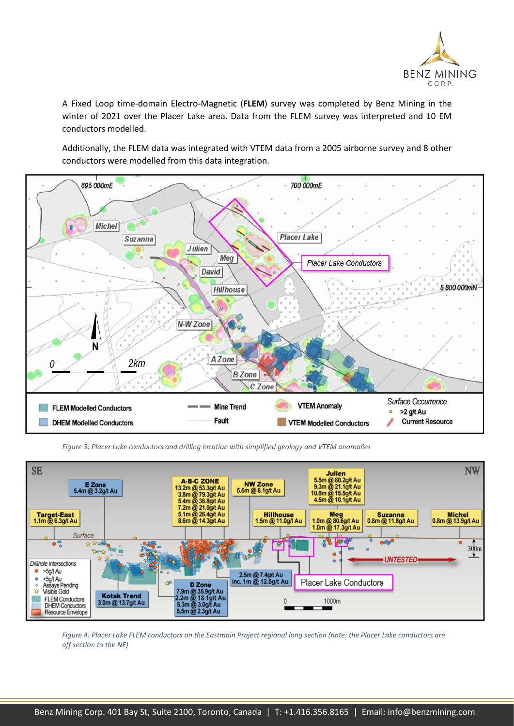

A Fixed Loop time-domain Electro-Magnetic (**FLEM**) survey was completed by Benz Mining in the winter of 2021 over the Placer Lake area. Data from the FLEM survey was interpreted and 10 EM conductors modelled.

Additionally, the FLEM data was integrated with VTEM data from a 2005 airborne survey and 8 other conductors were modelled from this data integration.



*Figure 3: Placer Lake conductors and drilling location with simplified geology and VTEM anomalies*



*Figure 4: Placer Lake FLEM conductors on the Eastmain Project regional long section (note: the Placer Lake conductors are off section to the NE)*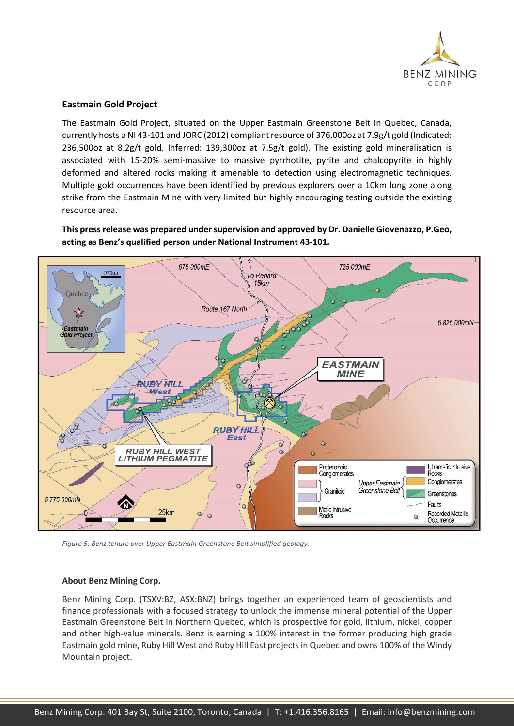

### **Eastmain Gold Project**

The Eastmain Gold Project, situated on the Upper Eastmain Greenstone Belt in Quebec, Canada, currently hosts a NI 43-101 and JORC (2012) compliant resource of 376,000oz at 7.9g/t gold (Indicated: 236,500oz at 8.2g/t gold, Inferred: 139,300oz at 7.5g/t gold). The existing gold mineralisation is associated with 15-20% semi-massive to massive pyrrhotite, pyrite and chalcopyrite in highly deformed and altered rocks making it amenable to detection using electromagnetic techniques. Multiple gold occurrences have been identified by previous explorers over a 10km long zone along strike from the Eastmain Mine with very limited but highly encouraging testing outside the existing resource area.

**This press release was prepared under supervision and approved by Dr. Danielle Giovenazzo, P.Geo, acting as Benz's qualified person under National Instrument 43-101.**



*Figure 5: Benz tenure over Upper Eastmain Greenstone Belt simplified geology.*

### **About Benz Mining Corp.**

Benz Mining Corp. (TSXV:BZ, ASX:BNZ) brings together an experienced team of geoscientists and finance professionals with a focused strategy to unlock the immense mineral potential of the Upper Eastmain Greenstone Belt in Northern Quebec, which is prospective for gold, lithium, nickel, copper and other high-value minerals. Benz is earning a 100% interest in the former producing high grade Eastmain gold mine, Ruby Hill West and Ruby Hill East projects in Quebec and owns 100% of the Windy Mountain project.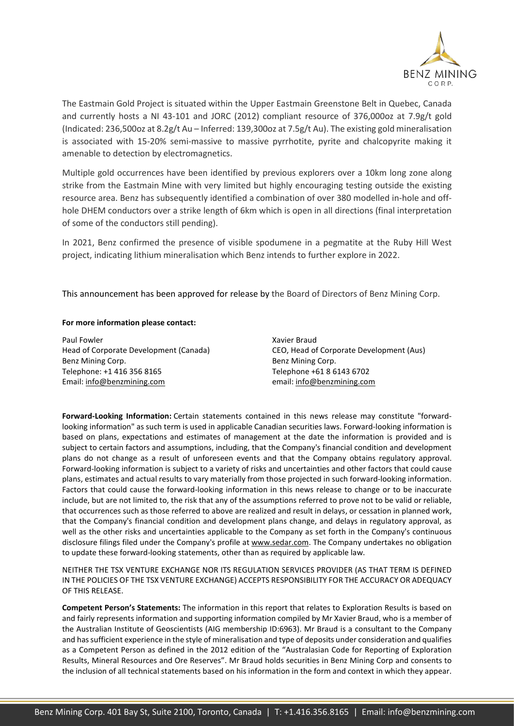

The Eastmain Gold Project is situated within the Upper Eastmain Greenstone Belt in Quebec, Canada and currently hosts a NI 43-101 and JORC (2012) compliant resource of 376,000oz at 7.9g/t gold (Indicated: 236,500oz at 8.2g/t Au – Inferred: 139,300oz at 7.5g/t Au). The existing gold mineralisation is associated with 15-20% semi-massive to massive pyrrhotite, pyrite and chalcopyrite making it amenable to detection by electromagnetics.

Multiple gold occurrences have been identified by previous explorers over a 10km long zone along strike from the Eastmain Mine with very limited but highly encouraging testing outside the existing resource area. Benz has subsequently identified a combination of over 380 modelled in-hole and offhole DHEM conductors over a strike length of 6km which is open in all directions (final interpretation of some of the conductors still pending).

In 2021, Benz confirmed the presence of visible spodumene in a pegmatite at the Ruby Hill West project, indicating lithium mineralisation which Benz intends to further explore in 2022.

This announcement has been approved for release by the Board of Directors of Benz Mining Corp.

#### **For more information please contact:**

Paul Fowler Head of Corporate Development (Canada) Benz Mining Corp. Telephone: +1 416 356 8165 Email: [info@benzmining.com](mailto:info@benzmining.com)

Xavier Braud CEO, Head of Corporate Development (Aus) Benz Mining Corp. Telephone +61 8 6143 6702 email: [info@benzmining.com](mailto:info@benzmining.com)

**Forward-Looking Information:** Certain statements contained in this news release may constitute "forwardlooking information" as such term is used in applicable Canadian securities laws. Forward-looking information is based on plans, expectations and estimates of management at the date the information is provided and is subject to certain factors and assumptions, including, that the Company's financial condition and development plans do not change as a result of unforeseen events and that the Company obtains regulatory approval. Forward-looking information is subject to a variety of risks and uncertainties and other factors that could cause plans, estimates and actual results to vary materially from those projected in such forward-looking information. Factors that could cause the forward-looking information in this news release to change or to be inaccurate include, but are not limited to, the risk that any of the assumptions referred to prove not to be valid or reliable, that occurrences such as those referred to above are realized and result in delays, or cessation in planned work, that the Company's financial condition and development plans change, and delays in regulatory approval, as well as the other risks and uncertainties applicable to the Company as set forth in the Company's continuous disclosure filings filed under the Company's profile at [www.sedar.com.](https://www.newsfilecorp.com/redirect/jbaESR8W) The Company undertakes no obligation to update these forward-looking statements, other than as required by applicable law.

NEITHER THE TSX VENTURE EXCHANGE NOR ITS REGULATION SERVICES PROVIDER (AS THAT TERM IS DEFINED IN THE POLICIES OF THE TSX VENTURE EXCHANGE) ACCEPTS RESPONSIBILITY FOR THE ACCURACY OR ADEQUACY OF THIS RELEASE.

**Competent Person's Statements:** The information in this report that relates to Exploration Results is based on and fairly represents information and supporting information compiled by Mr Xavier Braud, who is a member of the Australian Institute of Geoscientists (AIG membership ID:6963). Mr Braud is a consultant to the Company and has sufficient experience in the style of mineralisation and type of deposits under consideration and qualifies as a Competent Person as defined in the 2012 edition of the "Australasian Code for Reporting of Exploration Results, Mineral Resources and Ore Reserves". Mr Braud holds securities in Benz Mining Corp and consents to the inclusion of all technical statements based on his information in the form and context in which they appear.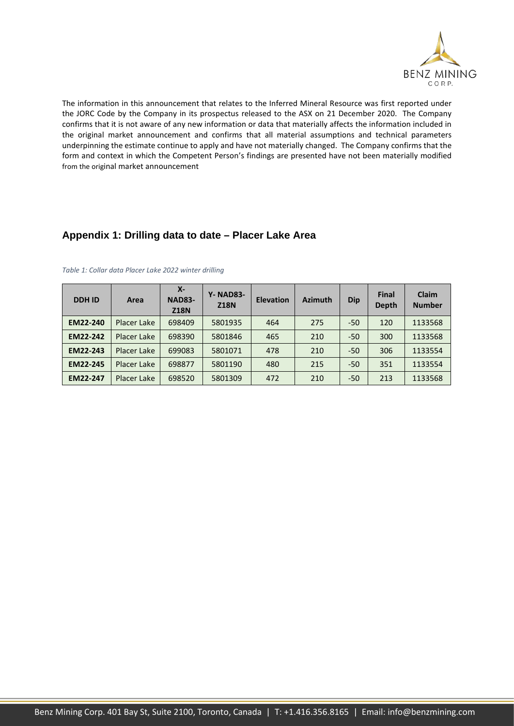

The information in this announcement that relates to the Inferred Mineral Resource was first reported under the JORC Code by the Company in its prospectus released to the ASX on 21 December 2020. The Company confirms that it is not aware of any new information or data that materially affects the information included in the original market announcement and confirms that all material assumptions and technical parameters underpinning the estimate continue to apply and have not materially changed. The Company confirms that the form and context in which the Competent Person's findings are presented have not been materially modified from the original market announcement

## **Appendix 1: Drilling data to date – Placer Lake Area**

| <b>DDHID</b>    | Area               | $X -$<br><b>NAD83-</b><br><b>Z18N</b> | <b>Y- NAD83-</b><br><b>Z18N</b> | <b>Elevation</b> | <b>Azimuth</b> | <b>Dip</b> | <b>Final</b><br>Depth | <b>Claim</b><br><b>Number</b> |
|-----------------|--------------------|---------------------------------------|---------------------------------|------------------|----------------|------------|-----------------------|-------------------------------|
| EM22-240        | Placer Lake        | 698409                                | 5801935                         | 464              | 275            | $-50$      | 120                   | 1133568                       |
| EM22-242        | <b>Placer Lake</b> | 698390                                | 5801846                         | 465              | 210            | $-50$      | 300                   | 1133568                       |
| EM22-243        | <b>Placer Lake</b> | 699083                                | 5801071                         | 478              | 210            | $-50$      | 306                   | 1133554                       |
| <b>EM22-245</b> | Placer Lake        | 698877                                | 5801190                         | 480              | 215            | $-50$      | 351                   | 1133554                       |
| <b>EM22-247</b> | Placer Lake        | 698520                                | 5801309                         | 472              | 210            | -50        | 213                   | 1133568                       |

*Table 1: Collar data Placer Lake 2022 winter drilling*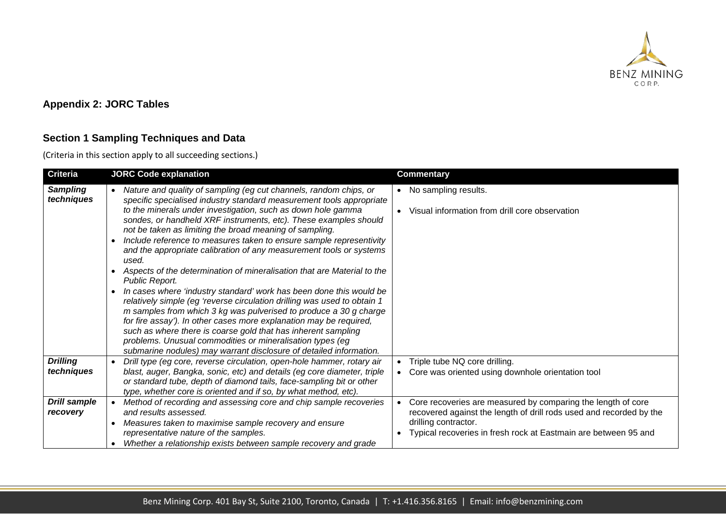

# **Appendix 2: JORC Tables**

# **Section 1 Sampling Techniques and Data**

(Criteria in this section apply to all succeeding sections.)

| <b>Criteria</b>                 | <b>JORC Code explanation</b>                                                                                                                                                                                                                                                                                                                                                                                                                                                                                                                                                            | <b>Commentary</b>                                                                                                                                                                                                                           |
|---------------------------------|-----------------------------------------------------------------------------------------------------------------------------------------------------------------------------------------------------------------------------------------------------------------------------------------------------------------------------------------------------------------------------------------------------------------------------------------------------------------------------------------------------------------------------------------------------------------------------------------|---------------------------------------------------------------------------------------------------------------------------------------------------------------------------------------------------------------------------------------------|
| <b>Sampling</b><br>techniques   | Nature and quality of sampling (eg cut channels, random chips, or<br>$\bullet$<br>specific specialised industry standard measurement tools appropriate<br>to the minerals under investigation, such as down hole gamma<br>sondes, or handheld XRF instruments, etc). These examples should<br>not be taken as limiting the broad meaning of sampling.<br>Include reference to measures taken to ensure sample representivity<br>and the appropriate calibration of any measurement tools or systems<br>used.<br>Aspects of the determination of mineralisation that are Material to the | • No sampling results.<br>Visual information from drill core observation                                                                                                                                                                    |
|                                 | Public Report.<br>In cases where 'industry standard' work has been done this would be<br>$\bullet$<br>relatively simple (eg 'reverse circulation drilling was used to obtain 1<br>m samples from which 3 kg was pulverised to produce a 30 g charge<br>for fire assay'). In other cases more explanation may be required,<br>such as where there is coarse gold that has inherent sampling<br>problems. Unusual commodities or mineralisation types (eg<br>submarine nodules) may warrant disclosure of detailed information.                                                           |                                                                                                                                                                                                                                             |
| <b>Drilling</b><br>techniques   | Drill type (eg core, reverse circulation, open-hole hammer, rotary air<br>blast, auger, Bangka, sonic, etc) and details (eg core diameter, triple<br>or standard tube, depth of diamond tails, face-sampling bit or other<br>type, whether core is oriented and if so, by what method, etc).                                                                                                                                                                                                                                                                                            | Triple tube NQ core drilling.<br>• Core was oriented using downhole orientation tool                                                                                                                                                        |
| <b>Drill sample</b><br>recovery | Method of recording and assessing core and chip sample recoveries<br>$\bullet$<br>and results assessed.<br>Measures taken to maximise sample recovery and ensure<br>representative nature of the samples.<br>Whether a relationship exists between sample recovery and grade                                                                                                                                                                                                                                                                                                            | Core recoveries are measured by comparing the length of core<br>$\bullet$<br>recovered against the length of drill rods used and recorded by the<br>drilling contractor.<br>Typical recoveries in fresh rock at Eastmain are between 95 and |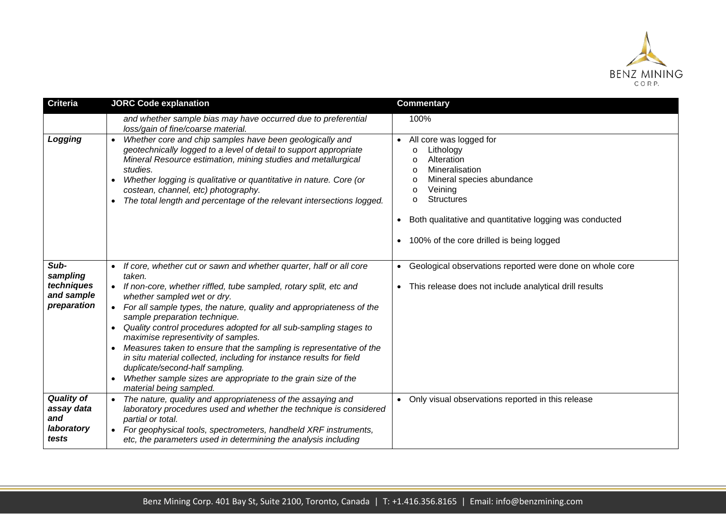

| <b>Criteria</b>                                               | <b>JORC Code explanation</b>                                                                                                                                                                                                                                                                                                                                                                                                                                                                                                                                                                                                                                                                     | <b>Commentary</b>                                                                                                                                                                                                                                                                    |
|---------------------------------------------------------------|--------------------------------------------------------------------------------------------------------------------------------------------------------------------------------------------------------------------------------------------------------------------------------------------------------------------------------------------------------------------------------------------------------------------------------------------------------------------------------------------------------------------------------------------------------------------------------------------------------------------------------------------------------------------------------------------------|--------------------------------------------------------------------------------------------------------------------------------------------------------------------------------------------------------------------------------------------------------------------------------------|
|                                                               | and whether sample bias may have occurred due to preferential<br>loss/gain of fine/coarse material.                                                                                                                                                                                                                                                                                                                                                                                                                                                                                                                                                                                              | 100%                                                                                                                                                                                                                                                                                 |
| Logging                                                       | Whether core and chip samples have been geologically and<br>geotechnically logged to a level of detail to support appropriate<br>Mineral Resource estimation, mining studies and metallurgical<br>studies.<br>Whether logging is qualitative or quantitative in nature. Core (or<br>costean, channel, etc) photography.<br>The total length and percentage of the relevant intersections logged.                                                                                                                                                                                                                                                                                                 | • All core was logged for<br>Lithology<br>$\circ$<br>Alteration<br>Mineralisation<br>Mineral species abundance<br>Veining<br>O<br><b>Structures</b><br>$\circ$<br>Both qualitative and quantitative logging was conducted<br>$\bullet$<br>• 100% of the core drilled is being logged |
| Sub-<br>sampling<br>techniques<br>and sample<br>preparation   | If core, whether cut or sawn and whether quarter, half or all core<br>taken.<br>If non-core, whether riffled, tube sampled, rotary split, etc and<br>whether sampled wet or dry.<br>For all sample types, the nature, quality and appropriateness of the<br>sample preparation technique.<br>Quality control procedures adopted for all sub-sampling stages to<br>maximise representivity of samples.<br>Measures taken to ensure that the sampling is representative of the<br>$\bullet$<br>in situ material collected, including for instance results for field<br>duplicate/second-half sampling.<br>Whether sample sizes are appropriate to the grain size of the<br>material being sampled. | Geological observations reported were done on whole core<br>$\bullet$<br>This release does not include analytical drill results                                                                                                                                                      |
| <b>Quality of</b><br>assay data<br>and<br>laboratory<br>tests | The nature, quality and appropriateness of the assaying and<br>laboratory procedures used and whether the technique is considered<br>partial or total.<br>For geophysical tools, spectrometers, handheld XRF instruments,<br>$\bullet$<br>etc, the parameters used in determining the analysis including                                                                                                                                                                                                                                                                                                                                                                                         | • Only visual observations reported in this release                                                                                                                                                                                                                                  |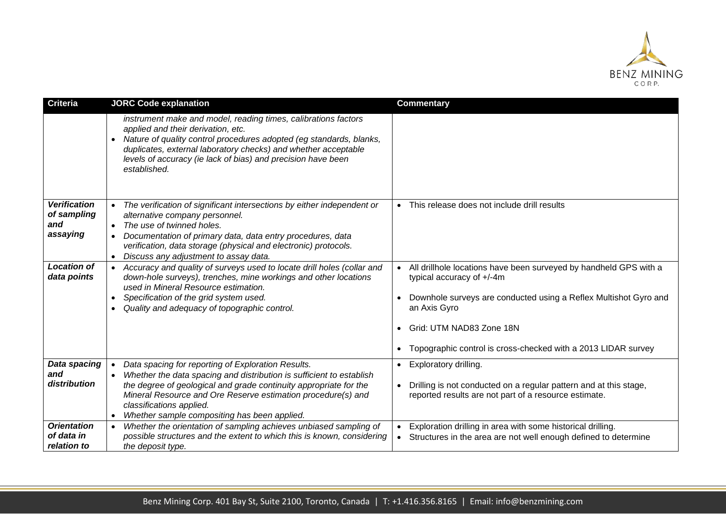

| <b>Criteria</b>                                       | <b>JORC Code explanation</b>                                                                                                                                                                                                                                                                                                                                          | <b>Commentary</b>                                                                                                                                                                                                                                                                     |
|-------------------------------------------------------|-----------------------------------------------------------------------------------------------------------------------------------------------------------------------------------------------------------------------------------------------------------------------------------------------------------------------------------------------------------------------|---------------------------------------------------------------------------------------------------------------------------------------------------------------------------------------------------------------------------------------------------------------------------------------|
|                                                       | instrument make and model, reading times, calibrations factors<br>applied and their derivation, etc.<br>Nature of quality control procedures adopted (eg standards, blanks,<br>duplicates, external laboratory checks) and whether acceptable<br>levels of accuracy (ie lack of bias) and precision have been<br>established.                                         |                                                                                                                                                                                                                                                                                       |
| <b>Verification</b><br>of sampling<br>and<br>assaying | The verification of significant intersections by either independent or<br>alternative company personnel.<br>The use of twinned holes.<br>Documentation of primary data, data entry procedures, data<br>verification, data storage (physical and electronic) protocols.<br>Discuss any adjustment to assay data.<br>$\bullet$                                          | • This release does not include drill results                                                                                                                                                                                                                                         |
| <b>Location of</b><br>data points                     | Accuracy and quality of surveys used to locate drill holes (collar and<br>down-hole surveys), trenches, mine workings and other locations<br>used in Mineral Resource estimation.<br>Specification of the grid system used.<br>$\bullet$<br>Quality and adequacy of topographic control.                                                                              | • All drillhole locations have been surveyed by handheld GPS with a<br>typical accuracy of +/-4m<br>Downhole surveys are conducted using a Reflex Multishot Gyro and<br>an Axis Gyro<br>• Grid: UTM NAD83 Zone 18N<br>• Topographic control is cross-checked with a 2013 LIDAR survey |
| Data spacing<br>and<br>distribution                   | Data spacing for reporting of Exploration Results.<br>$\bullet$<br>Whether the data spacing and distribution is sufficient to establish<br>$\bullet$<br>the degree of geological and grade continuity appropriate for the<br>Mineral Resource and Ore Reserve estimation procedure(s) and<br>classifications applied.<br>Whether sample compositing has been applied. | • Exploratory drilling.<br>• Drilling is not conducted on a regular pattern and at this stage,<br>reported results are not part of a resource estimate.                                                                                                                               |
| <b>Orientation</b><br>of data in<br>relation to       | Whether the orientation of sampling achieves unbiased sampling of<br>possible structures and the extent to which this is known, considering<br>the deposit type.                                                                                                                                                                                                      | Exploration drilling in area with some historical drilling.<br>Structures in the area are not well enough defined to determine<br>$\bullet$                                                                                                                                           |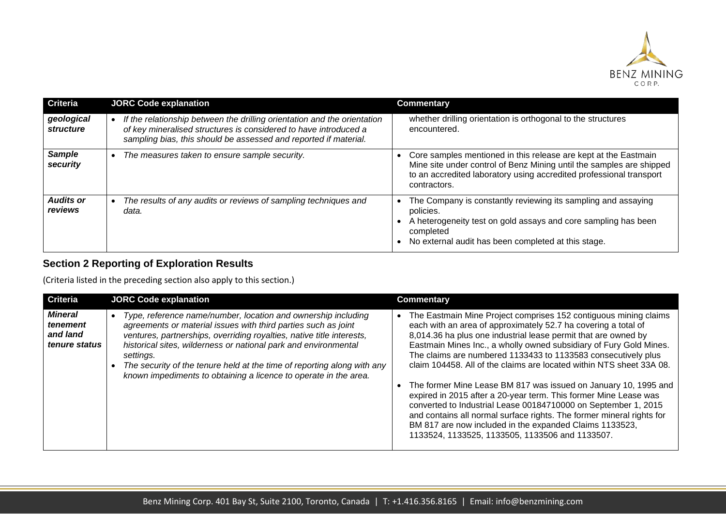

| <b>Criteria</b>                | <b>JORC Code explanation</b>                                                                                                                                                                                     | <b>Commentary</b>                                                                                                                                                                                                              |
|--------------------------------|------------------------------------------------------------------------------------------------------------------------------------------------------------------------------------------------------------------|--------------------------------------------------------------------------------------------------------------------------------------------------------------------------------------------------------------------------------|
| geological<br><i>structure</i> | If the relationship between the drilling orientation and the orientation<br>of key mineralised structures is considered to have introduced a<br>sampling bias, this should be assessed and reported if material. | whether drilling orientation is orthogonal to the structures<br>encountered.                                                                                                                                                   |
| <b>Sample</b><br>security      | The measures taken to ensure sample security.<br>$\bullet$                                                                                                                                                       | Core samples mentioned in this release are kept at the Eastmain<br>Mine site under control of Benz Mining until the samples are shipped<br>to an accredited laboratory using accredited professional transport<br>contractors. |
| <b>Audits or</b><br>reviews    | The results of any audits or reviews of sampling techniques and<br>data.                                                                                                                                         | The Company is constantly reviewing its sampling and assaying<br>policies.<br>A heterogeneity test on gold assays and core sampling has been<br>completed<br>No external audit has been completed at this stage.               |

# **Section 2 Reporting of Exploration Results**

(Criteria listed in the preceding section also apply to this section.)

| <b>Criteria</b>                                         | <b>JORC Code explanation</b>                                                                                                                                                                                                                                                                                                                                                                                                                         | Commentary                                                                                                                                                                                                                                                                                                                                                                                                                                                                                                                                                                                                                                                                                                                                                                                                          |
|---------------------------------------------------------|------------------------------------------------------------------------------------------------------------------------------------------------------------------------------------------------------------------------------------------------------------------------------------------------------------------------------------------------------------------------------------------------------------------------------------------------------|---------------------------------------------------------------------------------------------------------------------------------------------------------------------------------------------------------------------------------------------------------------------------------------------------------------------------------------------------------------------------------------------------------------------------------------------------------------------------------------------------------------------------------------------------------------------------------------------------------------------------------------------------------------------------------------------------------------------------------------------------------------------------------------------------------------------|
| <b>Mineral</b><br>tenement<br>and land<br>tenure status | Type, reference name/number, location and ownership including<br>$\bullet$<br>agreements or material issues with third parties such as joint<br>ventures, partnerships, overriding royalties, native title interests,<br>historical sites, wilderness or national park and environmental<br>settings.<br>The security of the tenure held at the time of reporting along with any<br>known impediments to obtaining a licence to operate in the area. | The Eastmain Mine Project comprises 152 contiguous mining claims<br>each with an area of approximately 52.7 ha covering a total of<br>8,014.36 ha plus one industrial lease permit that are owned by<br>Eastmain Mines Inc., a wholly owned subsidiary of Fury Gold Mines.<br>The claims are numbered 1133433 to 1133583 consecutively plus<br>claim 104458. All of the claims are located within NTS sheet 33A 08.<br>The former Mine Lease BM 817 was issued on January 10, 1995 and<br>expired in 2015 after a 20-year term. This former Mine Lease was<br>converted to Industrial Lease 00184710000 on September 1, 2015<br>and contains all normal surface rights. The former mineral rights for<br>BM 817 are now included in the expanded Claims 1133523,<br>1133524, 1133525, 1133505, 1133506 and 1133507. |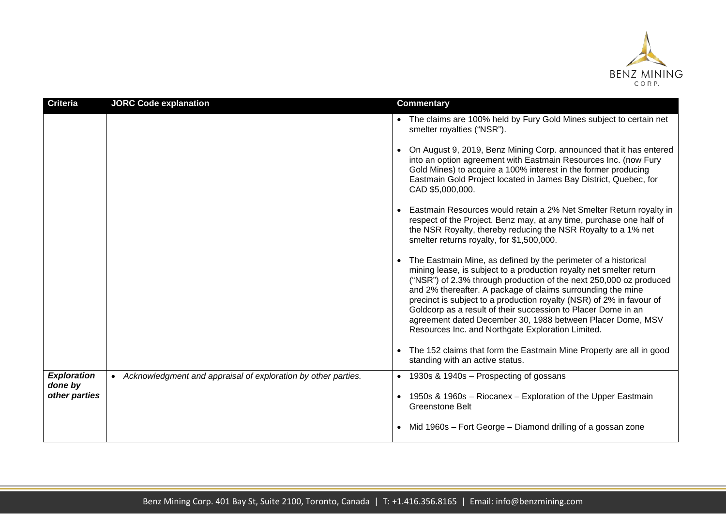

| <b>Criteria</b>                                | <b>JORC Code explanation</b>                                    | <b>Commentary</b>                                                                                                                                                                                                                                                                                                                                                                                                                                                                                                                                                                                                                                                                                                                                                                                               |
|------------------------------------------------|-----------------------------------------------------------------|-----------------------------------------------------------------------------------------------------------------------------------------------------------------------------------------------------------------------------------------------------------------------------------------------------------------------------------------------------------------------------------------------------------------------------------------------------------------------------------------------------------------------------------------------------------------------------------------------------------------------------------------------------------------------------------------------------------------------------------------------------------------------------------------------------------------|
|                                                |                                                                 | • The claims are 100% held by Fury Gold Mines subject to certain net<br>smelter royalties ("NSR").<br>• On August 9, 2019, Benz Mining Corp. announced that it has entered<br>into an option agreement with Eastmain Resources Inc. (now Fury<br>Gold Mines) to acquire a 100% interest in the former producing<br>Eastmain Gold Project located in James Bay District, Quebec, for<br>CAD \$5,000,000.<br>• Eastmain Resources would retain a 2% Net Smelter Return royalty in<br>respect of the Project. Benz may, at any time, purchase one half of<br>the NSR Royalty, thereby reducing the NSR Royalty to a 1% net<br>smelter returns royalty, for \$1,500,000.<br>• The Eastmain Mine, as defined by the perimeter of a historical<br>mining lease, is subject to a production royalty net smelter return |
|                                                |                                                                 | ("NSR") of 2.3% through production of the next 250,000 oz produced<br>and 2% thereafter. A package of claims surrounding the mine<br>precinct is subject to a production royalty (NSR) of 2% in favour of<br>Goldcorp as a result of their succession to Placer Dome in an<br>agreement dated December 30, 1988 between Placer Dome, MSV<br>Resources Inc. and Northgate Exploration Limited.                                                                                                                                                                                                                                                                                                                                                                                                                   |
|                                                |                                                                 | The 152 claims that form the Eastmain Mine Property are all in good<br>standing with an active status.                                                                                                                                                                                                                                                                                                                                                                                                                                                                                                                                                                                                                                                                                                          |
| <b>Exploration</b><br>done by<br>other parties | • Acknowledgment and appraisal of exploration by other parties. | • 1930s & 1940s – Prospecting of gossans                                                                                                                                                                                                                                                                                                                                                                                                                                                                                                                                                                                                                                                                                                                                                                        |
|                                                |                                                                 | • 1950s & 1960s - Riocanex - Exploration of the Upper Eastmain<br><b>Greenstone Belt</b>                                                                                                                                                                                                                                                                                                                                                                                                                                                                                                                                                                                                                                                                                                                        |
|                                                |                                                                 | • Mid 1960s – Fort George – Diamond drilling of a gossan zone                                                                                                                                                                                                                                                                                                                                                                                                                                                                                                                                                                                                                                                                                                                                                   |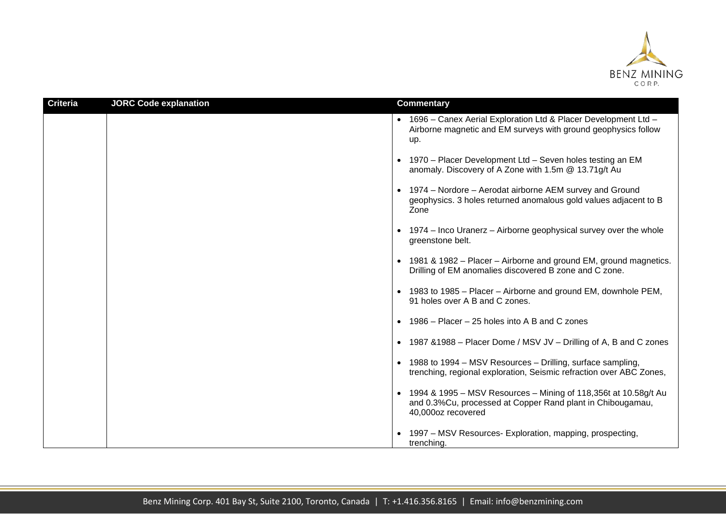

| <b>Criteria</b> | <b>JORC Code explanation</b> | <b>Commentary</b>                                                                                                                                     |
|-----------------|------------------------------|-------------------------------------------------------------------------------------------------------------------------------------------------------|
|                 |                              | • 1696 - Canex Aerial Exploration Ltd & Placer Development Ltd -<br>Airborne magnetic and EM surveys with ground geophysics follow<br>up.             |
|                 |                              | • 1970 – Placer Development Ltd – Seven holes testing an EM<br>anomaly. Discovery of A Zone with 1.5m @ 13.71g/t Au                                   |
|                 |                              | • 1974 – Nordore – Aerodat airborne AEM survey and Ground<br>geophysics. 3 holes returned anomalous gold values adjacent to B<br>Zone                 |
|                 |                              | • 1974 – Inco Uranerz – Airborne geophysical survey over the whole<br>greenstone belt.                                                                |
|                 |                              | • 1981 & 1982 – Placer – Airborne and ground EM, ground magnetics.<br>Drilling of EM anomalies discovered B zone and C zone.                          |
|                 |                              | • 1983 to 1985 – Placer – Airborne and ground EM, downhole PEM,<br>91 holes over A B and C zones.                                                     |
|                 |                              | • 1986 – Placer – 25 holes into A B and C zones                                                                                                       |
|                 |                              | • 1987 & 1988 - Placer Dome / MSV JV - Drilling of A, B and C zones                                                                                   |
|                 |                              | • 1988 to 1994 – MSV Resources – Drilling, surface sampling,<br>trenching, regional exploration, Seismic refraction over ABC Zones,                   |
|                 |                              | • 1994 & 1995 - MSV Resources - Mining of 118,356t at 10.58g/t Au<br>and 0.3%Cu, processed at Copper Rand plant in Chibougamau,<br>40,000oz recovered |
|                 |                              | 1997 – MSV Resources- Exploration, mapping, prospecting,<br>trenching.                                                                                |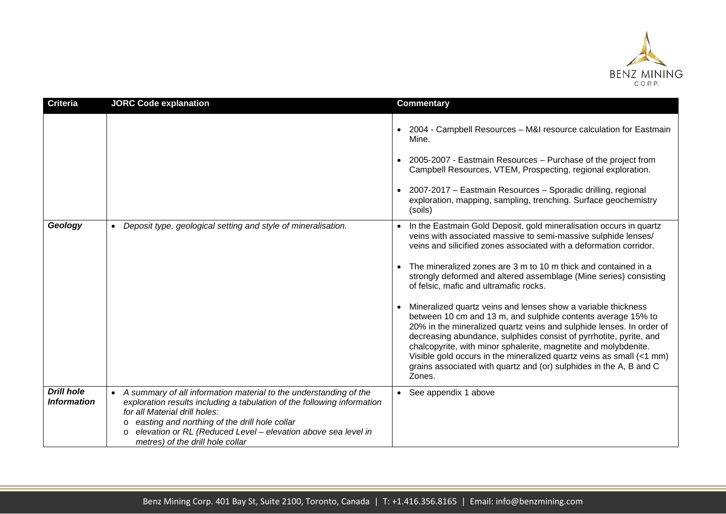

| <b>Criteria</b>                                | <b>JORC Code explanation</b>                                                                                                                                                                                                                                                                                                                   | <b>Commentary</b>                                                                                                                                                                                                                                                                                                                                                                                                                                                                                                                                                                                                                                                                                                                                                                                                                                                                                                             |
|------------------------------------------------|------------------------------------------------------------------------------------------------------------------------------------------------------------------------------------------------------------------------------------------------------------------------------------------------------------------------------------------------|-------------------------------------------------------------------------------------------------------------------------------------------------------------------------------------------------------------------------------------------------------------------------------------------------------------------------------------------------------------------------------------------------------------------------------------------------------------------------------------------------------------------------------------------------------------------------------------------------------------------------------------------------------------------------------------------------------------------------------------------------------------------------------------------------------------------------------------------------------------------------------------------------------------------------------|
|                                                |                                                                                                                                                                                                                                                                                                                                                | • 2004 - Campbell Resources - M&I resource calculation for Eastmain<br>Mine.<br>• 2005-2007 - Eastmain Resources - Purchase of the project from<br>Campbell Resources, VTEM, Prospecting, regional exploration.<br>• 2007-2017 - Eastmain Resources - Sporadic drilling, regional<br>exploration, mapping, sampling, trenching. Surface geochemistry                                                                                                                                                                                                                                                                                                                                                                                                                                                                                                                                                                          |
| Geology                                        | Deposit type, geological setting and style of mineralisation.                                                                                                                                                                                                                                                                                  | (soils)<br>In the Eastmain Gold Deposit, gold mineralisation occurs in quartz<br>veins with associated massive to semi-massive sulphide lenses/<br>veins and silicified zones associated with a deformation corridor.<br>The mineralized zones are 3 m to 10 m thick and contained in a<br>strongly deformed and altered assemblage (Mine series) consisting<br>of felsic, mafic and ultramafic rocks.<br>Mineralized quartz veins and lenses show a variable thickness<br>$\bullet$<br>between 10 cm and 13 m, and sulphide contents average 15% to<br>20% in the mineralized quartz veins and sulphide lenses. In order of<br>decreasing abundance, sulphides consist of pyrrhotite, pyrite, and<br>chalcopyrite, with minor sphalerite, magnetite and molybdenite.<br>Visible gold occurs in the mineralized quartz veins as small (<1 mm)<br>grains associated with quartz and (or) sulphides in the A, B and C<br>Zones. |
| <b>Drill hole</b><br><i><b>Information</b></i> | A summary of all information material to the understanding of the<br>exploration results including a tabulation of the following information<br>for all Material drill holes:<br>easting and northing of the drill hole collar<br>$\circ$<br>elevation or RL (Reduced Level - elevation above sea level in<br>metres) of the drill hole collar | • See appendix 1 above                                                                                                                                                                                                                                                                                                                                                                                                                                                                                                                                                                                                                                                                                                                                                                                                                                                                                                        |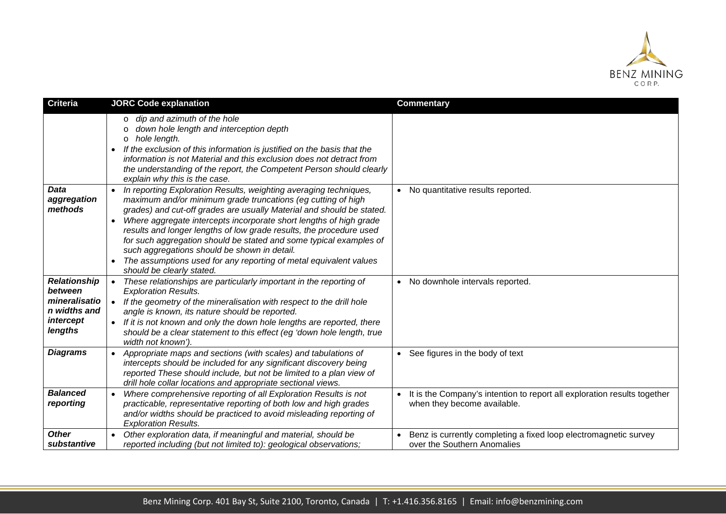

| Criteria                                                                                | <b>JORC Code explanation</b>                                                                                                                                                                                                                                                                                                                                                                                                                                                                                                                                                                                           | <b>Commentary</b>                                                                                       |
|-----------------------------------------------------------------------------------------|------------------------------------------------------------------------------------------------------------------------------------------------------------------------------------------------------------------------------------------------------------------------------------------------------------------------------------------------------------------------------------------------------------------------------------------------------------------------------------------------------------------------------------------------------------------------------------------------------------------------|---------------------------------------------------------------------------------------------------------|
|                                                                                         | dip and azimuth of the hole<br>$\circ$<br>down hole length and interception depth<br>hole length.<br>$\circ$<br>If the exclusion of this information is justified on the basis that the<br>$\bullet$<br>information is not Material and this exclusion does not detract from<br>the understanding of the report, the Competent Person should clearly<br>explain why this is the case.                                                                                                                                                                                                                                  |                                                                                                         |
| <b>Data</b><br>aggregation<br>methods                                                   | In reporting Exploration Results, weighting averaging techniques,<br>$\bullet$<br>maximum and/or minimum grade truncations (eg cutting of high<br>grades) and cut-off grades are usually Material and should be stated.<br>Where aggregate intercepts incorporate short lengths of high grade<br>$\bullet$<br>results and longer lengths of low grade results, the procedure used<br>for such aggregation should be stated and some typical examples of<br>such aggregations should be shown in detail.<br>The assumptions used for any reporting of metal equivalent values<br>$\bullet$<br>should be clearly stated. | • No quantitative results reported.                                                                     |
| <b>Relationship</b><br>between<br>mineralisatio<br>n widths and<br>intercept<br>lengths | These relationships are particularly important in the reporting of<br>$\bullet$<br><b>Exploration Results.</b><br>If the geometry of the mineralisation with respect to the drill hole<br>$\bullet$<br>angle is known, its nature should be reported.<br>If it is not known and only the down hole lengths are reported, there<br>$\bullet$<br>should be a clear statement to this effect (eg 'down hole length, true<br>width not known').                                                                                                                                                                            | No downhole intervals reported.                                                                         |
| <b>Diagrams</b>                                                                         | Appropriate maps and sections (with scales) and tabulations of<br>intercepts should be included for any significant discovery being<br>reported These should include, but not be limited to a plan view of<br>drill hole collar locations and appropriate sectional views.                                                                                                                                                                                                                                                                                                                                             | • See figures in the body of text                                                                       |
| <b>Balanced</b><br>reporting                                                            | Where comprehensive reporting of all Exploration Results is not<br>$\bullet$<br>practicable, representative reporting of both low and high grades<br>and/or widths should be practiced to avoid misleading reporting of<br><b>Exploration Results.</b>                                                                                                                                                                                                                                                                                                                                                                 | It is the Company's intention to report all exploration results together<br>when they become available. |
| <b>Other</b><br>substantive                                                             | Other exploration data, if meaningful and material, should be<br>$\bullet$<br>reported including (but not limited to): geological observations;                                                                                                                                                                                                                                                                                                                                                                                                                                                                        | Benz is currently completing a fixed loop electromagnetic survey<br>over the Southern Anomalies         |